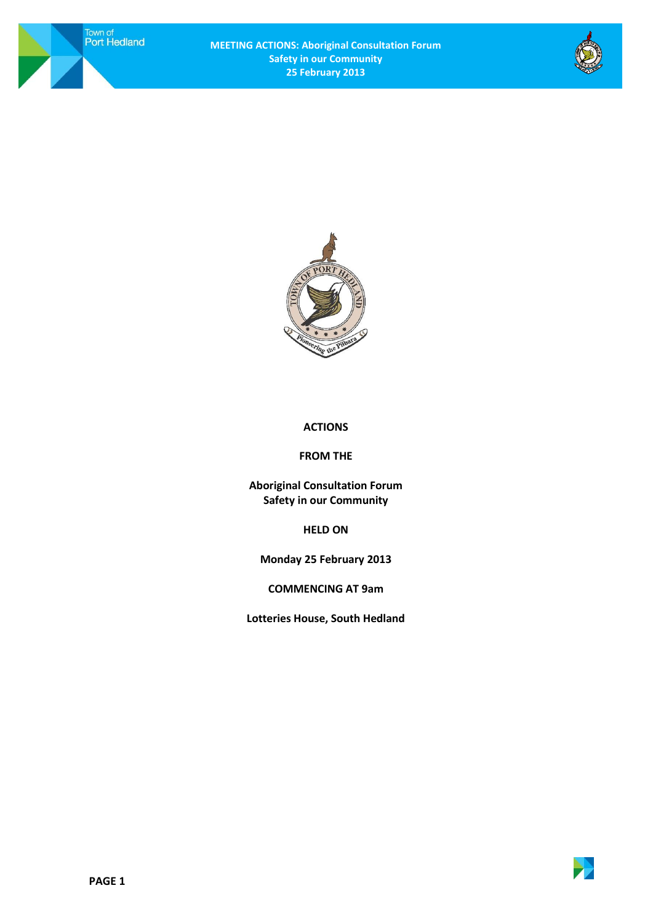Town of<br>Port Hedland





## **ACTIONS**

## **FROM THE**

**Aboriginal Consultation Forum Safety in our Community**

**HELD ON**

**Monday 25 February 2013**

**COMMENCING AT 9am**

**Lotteries House, South Hedland**